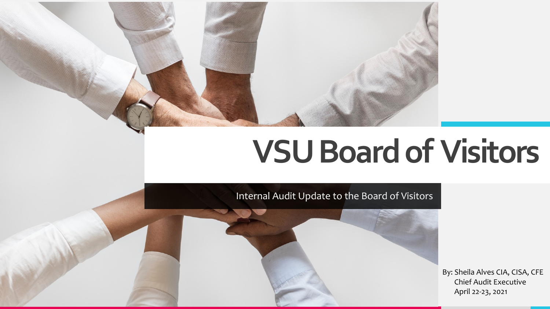# **VSU Board of Visitors**

Internal Audit Update to the Board of Visitors

By: Sheila Alves CIA, CISA, CFE Chief Audit Executive April 22-23, 2021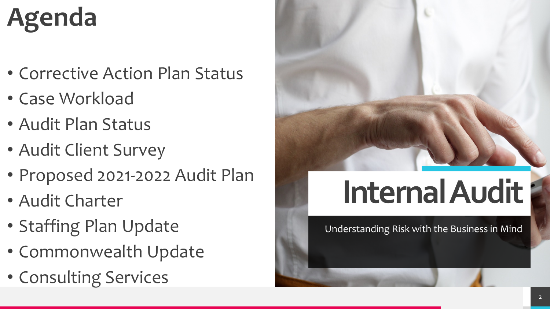## **Agenda**

- Corrective Action Plan Status
- Case Workload
- Audit Plan Status
- Audit Client Survey
- Proposed 2021-2022 Audit Plan
- Audit Charter
- Staffing Plan Update
- Commonwealth Update
- Consulting Services



# **Internal Audit**

Understanding Risk with the Business in Mind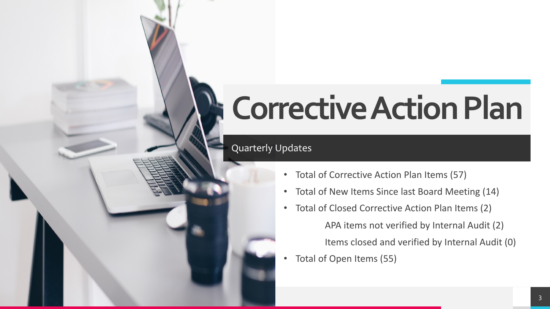# **Corrective Action Plan**

### Quarterly Updates

- Total of Corrective Action Plan Items (57)
- Total of New Items Since last Board Meeting (14)
- Total of Closed Corrective Action Plan Items (2) APA items not verified by Internal Audit (2) Items closed and verified by Internal Audit (0)
- Total of Open Items (55)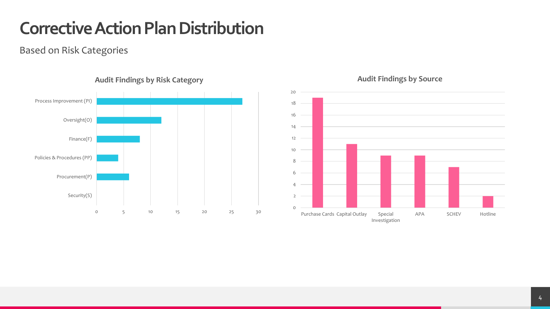## **Corrective Action Plan Distribution**

Based on Risk Categories



#### **Audit Findings by Risk Category**



#### **Audit Findings by Source**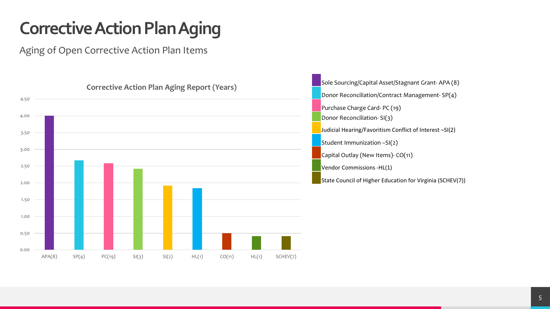## **Corrective Action Plan Aging**

Aging of Open Corrective Action Plan Items



Sole Sourcing/Capital Asset/Stagnant Grant- APA (8) Donor Reconciliation/Contract Management- SP(4) Purchase Charge Card- PC (19) Donor Reconciliation- SI(3) Judicial Hearing/Favoritism Conflict of Interest –SI(2) Student Immunization –SI(2) Capital Outlay (New Items)- CO(11) Vendor Commissions -HL(1) State Council of Higher Education for Virginia (SCHEV(7))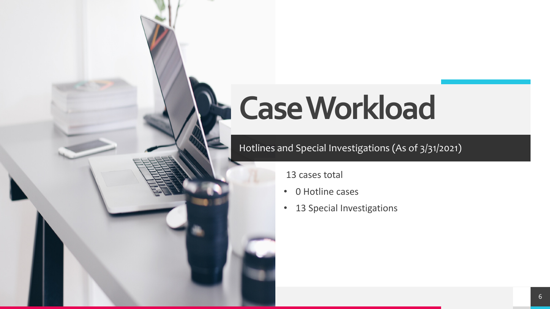# **Case Workload**

### Hotlines and Special Investigations (As of 3/31/2021)

13 cases total

- 0 Hotline cases
- 13 Special Investigations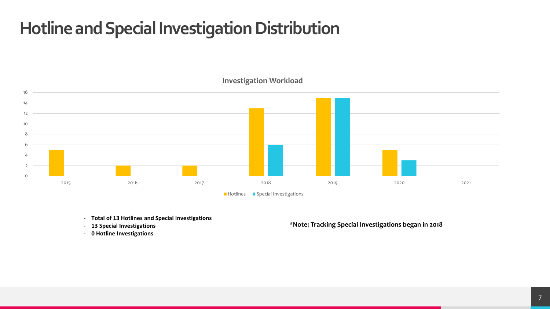### **Hotline and Special Investigation Distribution**



#### **Investigation Workload**

- **Total of 13 Hotlines and Special Investigations**
- **13 Special Investigations**
- **0 Hotline Investigations**

#### **\*Note: Tracking Special Investigations began in 2018**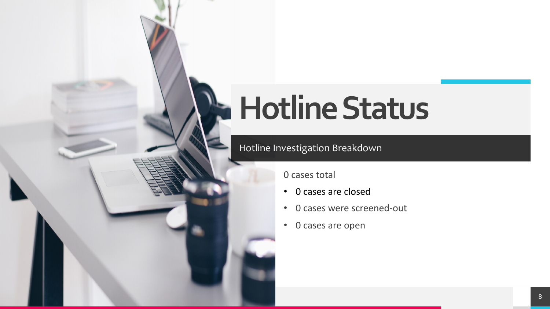# **Hotline Status**

### Hotline Investigation Breakdown

0 cases total

- 0 cases are closed
- 0 cases were screened-out
- 0 cases are open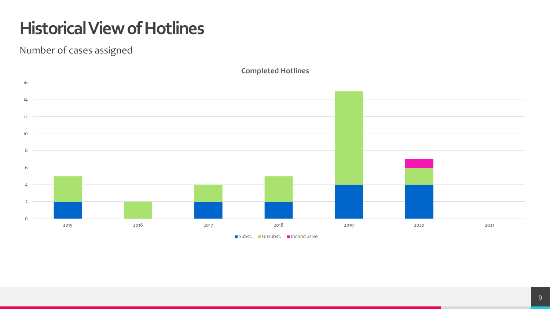## **Historical View of Hotlines**

Number of cases assigned



**Completed Hotlines**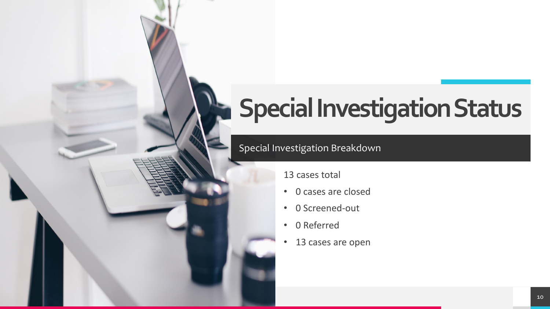## **Special Investigation Status**

### Special Investigation Breakdown

13 cases total

- 0 cases are closed
- 0 Screened-out
- 0 Referred
- 13 cases are open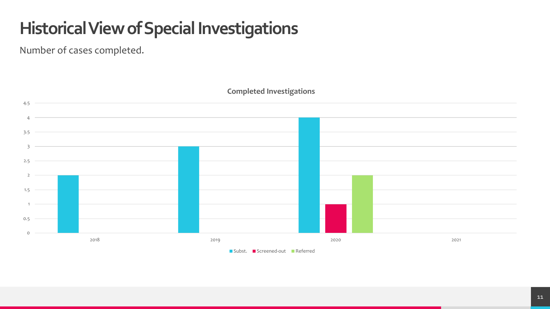## **Historical View of Special Investigations**

Number of cases completed.



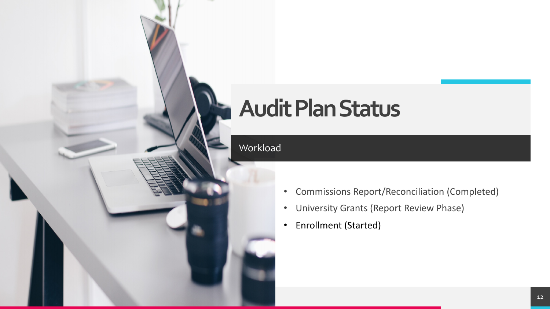## **Audit Plan Status**

### Workload

- Commissions Report/Reconciliation (Completed)
- University Grants (Report Review Phase)
- Enrollment (Started)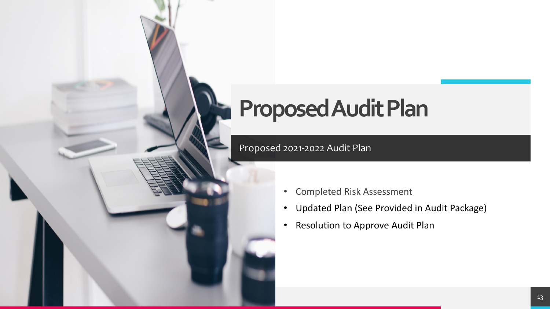## **Proposed Audit Plan**

### Proposed 2021-2022 Audit Plan

- Completed Risk Assessment
- Updated Plan (See Provided in Audit Package)
- Resolution to Approve Audit Plan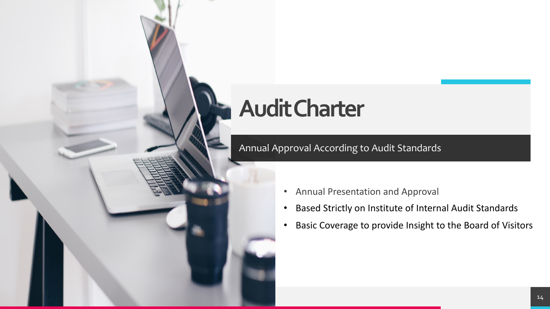## **Audit Charter**

Annual Approval According to Audit Standards

- Annual Presentation and Approval
- Based Strictly on Institute of Internal Audit Standards
- Basic Coverage to provide Insight to the Board of Visitors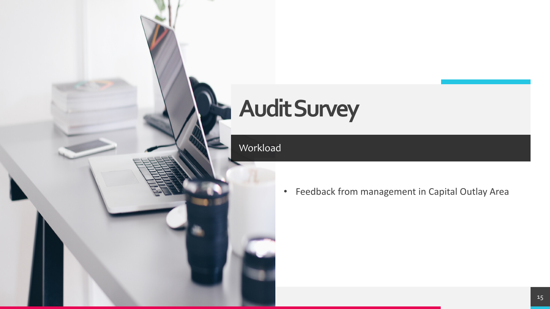## **Audit Survey**

Workload

• Feedback from management in Capital Outlay Area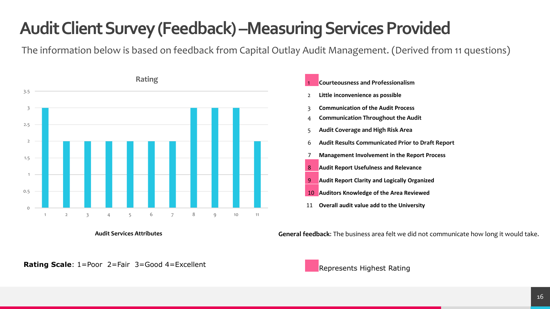## **Audit Client Survey (Feedback) –Measuring Services Provided**

The information below is based on feedback from Capital Outlay Audit Management. (Derived from 11 questions)



**Audit Services Attributes**



**General feedback**: The business area felt we did not communicate how long it would take.

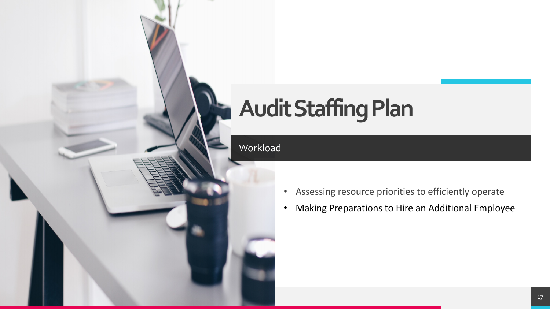## **Audit Staffing Plan**

#### Workload

- Assessing resource priorities to efficiently operate
- Making Preparations to Hire an Additional Employee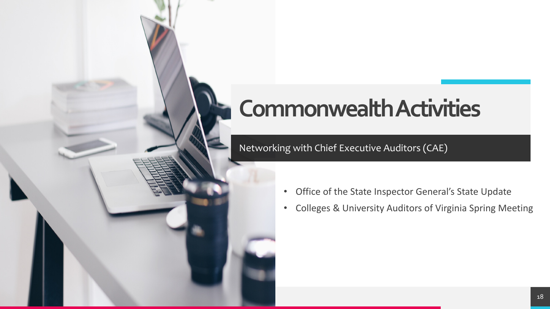## **Commonwealth Activities**

### Networking with Chief Executive Auditors (CAE)

- Office of the State Inspector General's State Update
- Colleges & University Auditors of Virginia Spring Meeting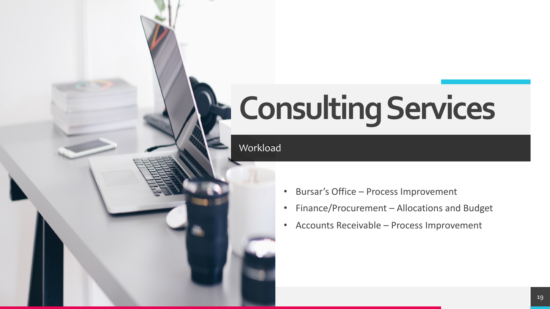# **Consulting Services**

#### Workload

- Bursar's Office Process Improvement
- Finance/Procurement Allocations and Budget
- Accounts Receivable Process Improvement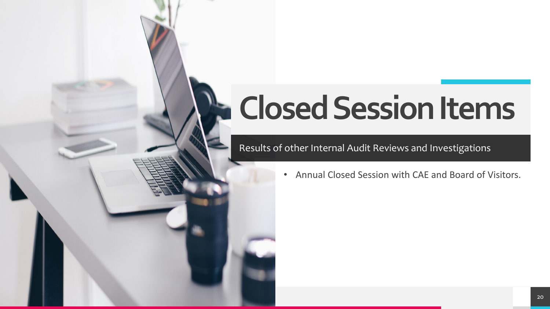# **Closed Session Items**

### Results of other Internal Audit Reviews and Investigations

• Annual Closed Session with CAE and Board of Visitors.